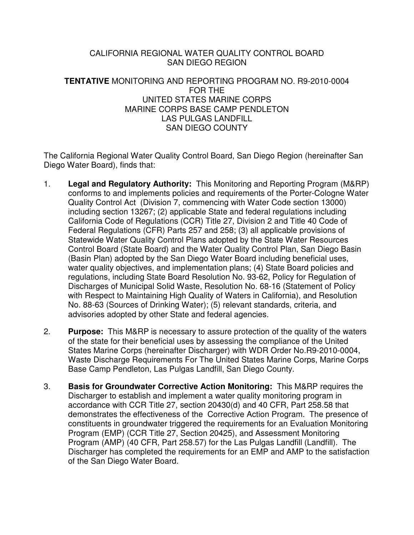#### CALIFORNIA REGIONAL WATER QUALITY CONTROL BOARD SAN DIEGO REGION

#### **TENTATIVE** MONITORING AND REPORTING PROGRAM NO. R9-2010-0004 FOR THE UNITED STATES MARINE CORPS MARINE CORPS BASE CAMP PENDLETON LAS PULGAS LANDFILL SAN DIEGO COUNTY

The California Regional Water Quality Control Board, San Diego Region (hereinafter San Diego Water Board), finds that:

- 1. **Legal and Regulatory Authority:** This Monitoring and Reporting Program (M&RP) conforms to and implements policies and requirements of the Porter-Cologne Water Quality Control Act (Division 7, commencing with Water Code section 13000) including section 13267; (2) applicable State and federal regulations including California Code of Regulations (CCR) Title 27, Division 2 and Title 40 Code of Federal Regulations (CFR) Parts 257 and 258; (3) all applicable provisions of Statewide Water Quality Control Plans adopted by the State Water Resources Control Board (State Board) and the Water Quality Control Plan, San Diego Basin (Basin Plan) adopted by the San Diego Water Board including beneficial uses, water quality objectives, and implementation plans; (4) State Board policies and regulations, including State Board Resolution No. 93-62, Policy for Regulation of Discharges of Municipal Solid Waste, Resolution No. 68-16 (Statement of Policy with Respect to Maintaining High Quality of Waters in California), and Resolution No. 88-63 (Sources of Drinking Water); (5) relevant standards, criteria, and advisories adopted by other State and federal agencies.
- 2. **Purpose:** This M&RP is necessary to assure protection of the quality of the waters of the state for their beneficial uses by assessing the compliance of the United States Marine Corps (hereinafter Discharger) with WDR Order No.R9-2010-0004, Waste Discharge Requirements For The United States Marine Corps, Marine Corps Base Camp Pendleton, Las Pulgas Landfill, San Diego County.
- 3. **Basis for Groundwater Corrective Action Monitoring:** This M&RP requires the Discharger to establish and implement a water quality monitoring program in accordance with CCR Title 27, section 20430(d) and 40 CFR, Part 258.58 that demonstrates the effectiveness of the Corrective Action Program. The presence of constituents in groundwater triggered the requirements for an Evaluation Monitoring Program (EMP) (CCR Title 27, Section 20425), and Assessment Monitoring Program (AMP) (40 CFR, Part 258.57) for the Las Pulgas Landfill (Landfill). The Discharger has completed the requirements for an EMP and AMP to the satisfaction of the San Diego Water Board.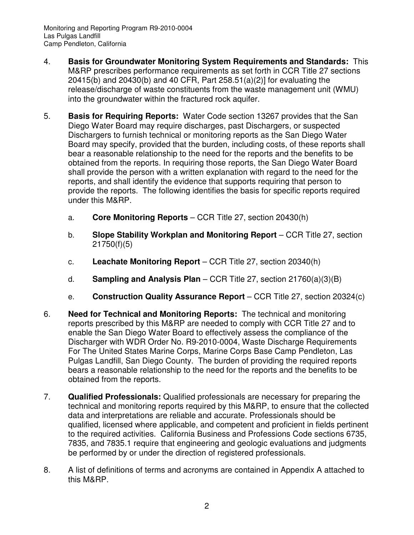Monitoring and Reporting Program R9-2010-0004 Las Pulgas Landfill Camp Pendleton, California

- 4. **Basis for Groundwater Monitoring System Requirements and Standards:** This M&RP prescribes performance requirements as set forth in CCR Title 27 sections 20415(b) and 20430(b) and 40 CFR, Part 258.51(a)(2)] for evaluating the release/discharge of waste constituents from the waste management unit (WMU) into the groundwater within the fractured rock aquifer.
- 5. **Basis for Requiring Reports:** Water Code section 13267 provides that the San Diego Water Board may require discharges, past Dischargers, or suspected Dischargers to furnish technical or monitoring reports as the San Diego Water Board may specify, provided that the burden, including costs, of these reports shall bear a reasonable relationship to the need for the reports and the benefits to be obtained from the reports. In requiring those reports, the San Diego Water Board shall provide the person with a written explanation with regard to the need for the reports, and shall identify the evidence that supports requiring that person to provide the reports. The following identifies the basis for specific reports required under this M&RP.
	- a. **Core Monitoring Reports**  CCR Title 27, section 20430(h)
	- b. **Slope Stability Workplan and Monitoring Report** CCR Title 27, section 21750(f)(5)
	- c. **Leachate Monitoring Report** CCR Title 27, section 20340(h)
	- d. **Sampling and Analysis Plan**  CCR Title 27, section 21760(a)(3)(B)
	- e. **Construction Quality Assurance Report** CCR Title 27, section 20324(c)
- 6. **Need for Technical and Monitoring Reports:** The technical and monitoring reports prescribed by this M&RP are needed to comply with CCR Title 27 and to enable the San Diego Water Board to effectively assess the compliance of the Discharger with WDR Order No. R9-2010-0004, Waste Discharge Requirements For The United States Marine Corps, Marine Corps Base Camp Pendleton, Las Pulgas Landfill, San Diego County. The burden of providing the required reports bears a reasonable relationship to the need for the reports and the benefits to be obtained from the reports.
- 7. **Qualified Professionals:** Qualified professionals are necessary for preparing the technical and monitoring reports required by this M&RP, to ensure that the collected data and interpretations are reliable and accurate. Professionals should be qualified, licensed where applicable, and competent and proficient in fields pertinent to the required activities. California Business and Professions Code sections 6735, 7835, and 7835.1 require that engineering and geologic evaluations and judgments be performed by or under the direction of registered professionals.
- 8. A list of definitions of terms and acronyms are contained in Appendix A attached to this M&RP.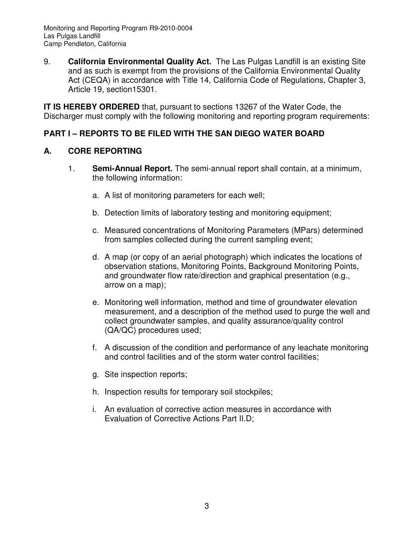9. **California Environmental Quality Act.** The Las Pulgas Landfill is an existing Site and as such is exempt from the provisions of the California Environmental Quality Act (CEQA) in accordance with Title 14, California Code of Regulations, Chapter 3, Article 19, section15301.

**IT IS HEREBY ORDERED** that, pursuant to sections 13267 of the Water Code, the Discharger must comply with the following monitoring and reporting program requirements:

### **PART I – REPORTS TO BE FILED WITH THE SAN DIEGO WATER BOARD**

### **A. CORE REPORTING**

- 1. **Semi-Annual Report.** The semi-annual report shall contain, at a minimum, the following information:
	- a. A list of monitoring parameters for each well;
	- b. Detection limits of laboratory testing and monitoring equipment;
	- c. Measured concentrations of Monitoring Parameters (MPars) determined from samples collected during the current sampling event;
	- d. A map (or copy of an aerial photograph) which indicates the locations of observation stations, Monitoring Points, Background Monitoring Points, and groundwater flow rate/direction and graphical presentation (e.g., arrow on a map);
	- e. Monitoring well information, method and time of groundwater elevation measurement, and a description of the method used to purge the well and collect groundwater samples, and quality assurance/quality control (QA/QC) procedures used;
	- f. A discussion of the condition and performance of any leachate monitoring and control facilities and of the storm water control facilities;
	- g. Site inspection reports;
	- h. Inspection results for temporary soil stockpiles;
	- i. An evaluation of corrective action measures in accordance with Evaluation of Corrective Actions Part II.D;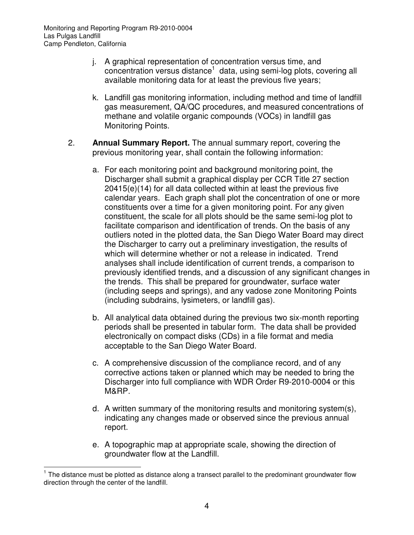- j. A graphical representation of concentration versus time, and concentration versus distance<sup>1</sup> data, using semi-log plots, covering all available monitoring data for at least the previous five years;
- k. Landfill gas monitoring information, including method and time of landfill gas measurement, QA/QC procedures, and measured concentrations of methane and volatile organic compounds (VOCs) in landfill gas Monitoring Points.
- 2. **Annual Summary Report.** The annual summary report, covering the previous monitoring year, shall contain the following information:
	- a. For each monitoring point and background monitoring point, the Discharger shall submit a graphical display per CCR Title 27 section 20415(e)(14) for all data collected within at least the previous five calendar years. Each graph shall plot the concentration of one or more constituents over a time for a given monitoring point. For any given constituent, the scale for all plots should be the same semi-log plot to facilitate comparison and identification of trends. On the basis of any outliers noted in the plotted data, the San Diego Water Board may direct the Discharger to carry out a preliminary investigation, the results of which will determine whether or not a release in indicated. Trend analyses shall include identification of current trends, a comparison to previously identified trends, and a discussion of any significant changes in the trends. This shall be prepared for groundwater, surface water (including seeps and springs), and any vadose zone Monitoring Points (including subdrains, lysimeters, or landfill gas).
	- b. All analytical data obtained during the previous two six-month reporting periods shall be presented in tabular form. The data shall be provided electronically on compact disks (CDs) in a file format and media acceptable to the San Diego Water Board.
	- c. A comprehensive discussion of the compliance record, and of any corrective actions taken or planned which may be needed to bring the Discharger into full compliance with WDR Order R9-2010-0004 or this M&RP.
	- d. A written summary of the monitoring results and monitoring system(s), indicating any changes made or observed since the previous annual report.
	- e. A topographic map at appropriate scale, showing the direction of groundwater flow at the Landfill.

 $\overline{a}$ 

<sup>&</sup>lt;sup>1</sup> The distance must be plotted as distance along a transect parallel to the predominant groundwater flow direction through the center of the landfill.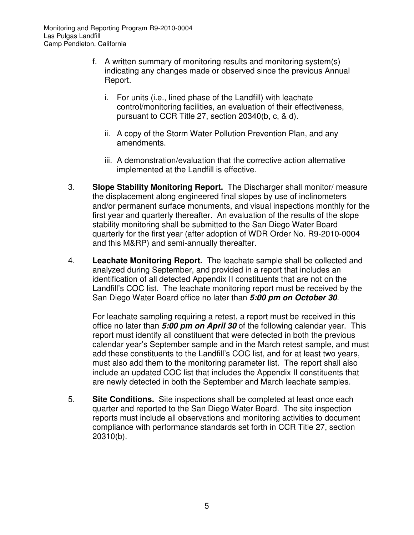Monitoring and Reporting Program R9-2010-0004 Las Pulgas Landfill Camp Pendleton, California

- f. A written summary of monitoring results and monitoring system(s) indicating any changes made or observed since the previous Annual Report.
	- i. For units (i.e., lined phase of the Landfill) with leachate control/monitoring facilities, an evaluation of their effectiveness, pursuant to CCR Title 27, section 20340(b, c, & d).
	- ii. A copy of the Storm Water Pollution Prevention Plan, and any amendments.
	- iii. A demonstration/evaluation that the corrective action alternative implemented at the Landfill is effective.
- 3. **Slope Stability Monitoring Report.** The Discharger shall monitor/ measure the displacement along engineered final slopes by use of inclinometers and/or permanent surface monuments, and visual inspections monthly for the first year and quarterly thereafter. An evaluation of the results of the slope stability monitoring shall be submitted to the San Diego Water Board quarterly for the first year (after adoption of WDR Order No. R9-2010-0004 and this M&RP) and semi-annually thereafter.
- 4. **Leachate Monitoring Report.** The leachate sample shall be collected and analyzed during September, and provided in a report that includes an identification of all detected Appendix II constituents that are not on the Landfill's COC list. The leachate monitoring report must be received by the San Diego Water Board office no later than **5:00 pm on October 30**.

For leachate sampling requiring a retest, a report must be received in this office no later than **5:00 pm on April 30** of the following calendar year. This report must identify all constituent that were detected in both the previous calendar year's September sample and in the March retest sample, and must add these constituents to the Landfill's COC list, and for at least two years, must also add them to the monitoring parameter list. The report shall also include an updated COC list that includes the Appendix II constituents that are newly detected in both the September and March leachate samples.

5. **Site Conditions.** Site inspections shall be completed at least once each quarter and reported to the San Diego Water Board. The site inspection reports must include all observations and monitoring activities to document compliance with performance standards set forth in CCR Title 27, section 20310(b).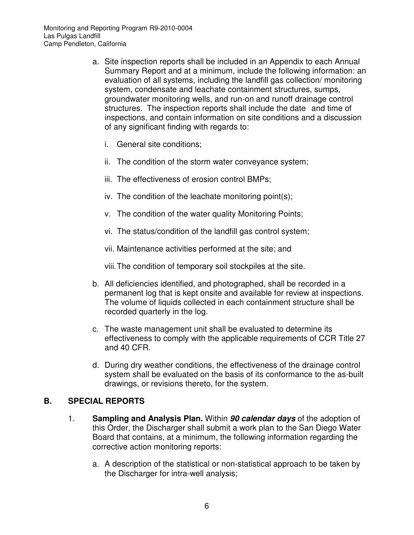- a. Site inspection reports shall be included in an Appendix to each Annual Summary Report and at a minimum, include the following information: an evaluation of all systems, including the landfill gas collection/ monitoring system, condensate and leachate containment structures, sumps, groundwater monitoring wells, and run-on and runoff drainage control structures. The inspection reports shall include the date and time of inspections, and contain information on site conditions and a discussion of any significant finding with regards to:
	- i. General site conditions;
	- ii. The condition of the storm water conveyance system;
	- iii. The effectiveness of erosion control BMPs;
	- iv. The condition of the leachate monitoring point(s);
	- v. The condition of the water quality Monitoring Points;
	- vi. The status/condition of the landfill gas control system;
	- vii. Maintenance activities performed at the site; and

viii. The condition of temporary soil stockpiles at the site.

- b. All deficiencies identified, and photographed, shall be recorded in a permanent log that is kept onsite and available for review at inspections. The volume of liquids collected in each containment structure shall be recorded quarterly in the log.
- c. The waste management unit shall be evaluated to determine its effectiveness to comply with the applicable requirements of CCR Title 27 and 40 CFR.
- d. During dry weather conditions, the effectiveness of the drainage control system shall be evaluated on the basis of its conformance to the as-built drawings, or revisions thereto, for the system.

### **B. SPECIAL REPORTS**

- 1. **Sampling and Analysis Plan.** Within **90 calendar days** of the adoption of this Order, the Discharger shall submit a work plan to the San Diego Water Board that contains, at a minimum, the following information regarding the corrective action monitoring reports:
	- a. A description of the statistical or non-statistical approach to be taken by the Discharger for intra-well analysis;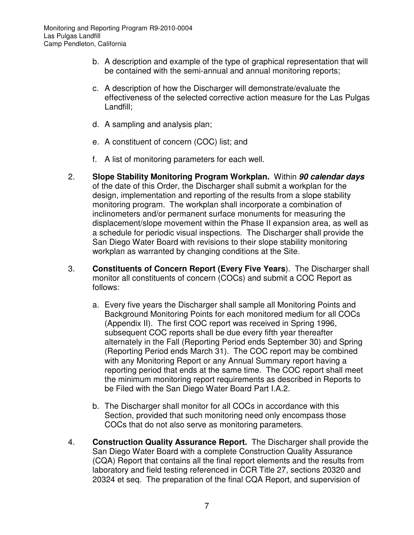- b. A description and example of the type of graphical representation that will be contained with the semi-annual and annual monitoring reports;
- c. A description of how the Discharger will demonstrate/evaluate the effectiveness of the selected corrective action measure for the Las Pulgas Landfill;
- d. A sampling and analysis plan;
- e. A constituent of concern (COC) list; and
- f. A list of monitoring parameters for each well.
- 2. **Slope Stability Monitoring Program Workplan.** Within **90 calendar days** of the date of this Order, the Discharger shall submit a workplan for the design, implementation and reporting of the results from a slope stability monitoring program. The workplan shall incorporate a combination of inclinometers and/or permanent surface monuments for measuring the displacement/slope movement within the Phase II expansion area, as well as a schedule for periodic visual inspections. The Discharger shall provide the San Diego Water Board with revisions to their slope stability monitoring workplan as warranted by changing conditions at the Site.
- 3. **Constituents of Concern Report (Every Five Years**). The Discharger shall monitor all constituents of concern (COCs) and submit a COC Report as follows:
	- a. Every five years the Discharger shall sample all Monitoring Points and Background Monitoring Points for each monitored medium for all COCs (Appendix II). The first COC report was received in Spring 1996, subsequent COC reports shall be due every fifth year thereafter alternately in the Fall (Reporting Period ends September 30) and Spring (Reporting Period ends March 31). The COC report may be combined with any Monitoring Report or any Annual Summary report having a reporting period that ends at the same time. The COC report shall meet the minimum monitoring report requirements as described in Reports to be Filed with the San Diego Water Board Part I.A.2.
	- b. The Discharger shall monitor for all COCs in accordance with this Section, provided that such monitoring need only encompass those COCs that do not also serve as monitoring parameters.
- 4. **Construction Quality Assurance Report.** The Discharger shall provide the San Diego Water Board with a complete Construction Quality Assurance (CQA) Report that contains all the final report elements and the results from laboratory and field testing referenced in CCR Title 27, sections 20320 and 20324 et seq. The preparation of the final CQA Report, and supervision of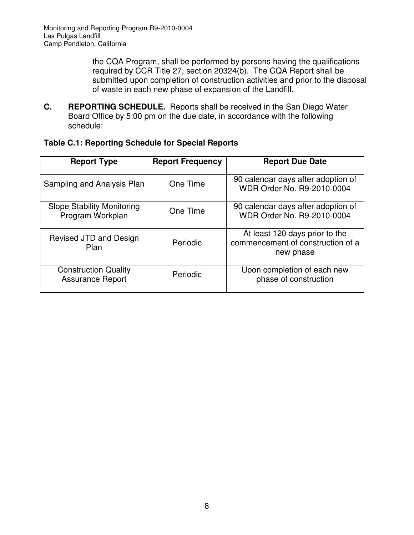the CQA Program, shall be performed by persons having the qualifications required by CCR Title 27, section 20324(b). The CQA Report shall be submitted upon completion of construction activities and prior to the disposal of waste in each new phase of expansion of the Landfill.

**C. REPORTING SCHEDULE.** Reports shall be received in the San Diego Water Board Office by 5:00 pm on the due date, in accordance with the following schedule:

| Table C.1: Reporting Schedule for Special Reports |  |
|---------------------------------------------------|--|
|---------------------------------------------------|--|

| <b>Report Type</b>                                     | <b>Report Frequency</b> | <b>Report Due Date</b>                                                           |
|--------------------------------------------------------|-------------------------|----------------------------------------------------------------------------------|
| Sampling and Analysis Plan                             | One Time                | 90 calendar days after adoption of<br>WDR Order No. R9-2010-0004                 |
| <b>Slope Stability Monitoring</b><br>Program Workplan  | One Time                | 90 calendar days after adoption of<br>WDR Order No. R9-2010-0004                 |
| Revised JTD and Design<br>Plan                         | Periodic                | At least 120 days prior to the<br>commencement of construction of a<br>new phase |
| <b>Construction Quality</b><br><b>Assurance Report</b> | Periodic                | Upon completion of each new<br>phase of construction                             |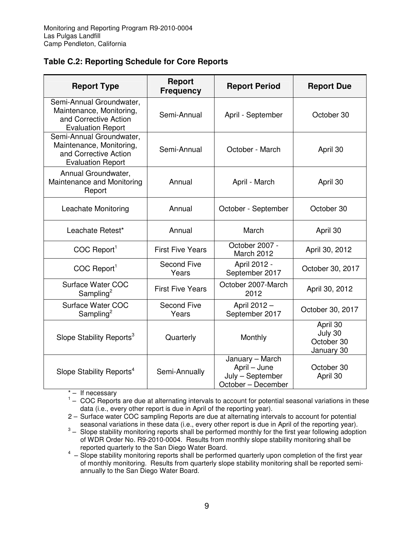#### **Table C.2: Reporting Schedule for Core Reports**

| <b>Report Type</b>                                                                                        | <b>Report</b><br><b>Frequency</b> | <b>Report Period</b>                                                      | <b>Report Due</b>                               |
|-----------------------------------------------------------------------------------------------------------|-----------------------------------|---------------------------------------------------------------------------|-------------------------------------------------|
| Semi-Annual Groundwater,<br>Maintenance, Monitoring,<br>and Corrective Action<br><b>Evaluation Report</b> | Semi-Annual                       | April - September                                                         | October 30                                      |
| Semi-Annual Groundwater,<br>Maintenance, Monitoring,<br>and Corrective Action<br><b>Evaluation Report</b> | Semi-Annual<br>October - March    |                                                                           | April 30                                        |
| Annual Groundwater,<br>Maintenance and Monitoring<br>Report                                               | Annual                            | April - March                                                             | April 30                                        |
| Leachate Monitoring                                                                                       | Annual                            | October - September                                                       | October 30                                      |
| Leachate Retest*                                                                                          | Annual                            | March                                                                     | April 30                                        |
| COC Report <sup>1</sup>                                                                                   | <b>First Five Years</b>           | October 2007 -<br>March 2012                                              | April 30, 2012                                  |
| COC Report <sup>1</sup>                                                                                   | <b>Second Five</b><br>Years       | April 2012 -<br>September 2017                                            | October 30, 2017                                |
| Surface Water COC<br>Sampling <sup>2</sup>                                                                | <b>First Five Years</b>           | October 2007-March<br>2012                                                | April 30, 2012                                  |
| Surface Water COC<br>Sampling <sup>2</sup>                                                                | <b>Second Five</b><br>Years       | April 2012 -<br>September 2017                                            | October 30, 2017                                |
| Slope Stability Reports <sup>3</sup>                                                                      | Quarterly                         | Monthly                                                                   | April 30<br>July 30<br>October 30<br>January 30 |
| Slope Stability Reports <sup>4</sup>                                                                      | Semi-Annually                     | January - March<br>April - June<br>July - September<br>October - December | October 30<br>April 30                          |

 $* -$  If necessary

<sup>1</sup> - COC Reports are due at alternating intervals to account for potential seasonal variations in these data (i.e., every other report is due in April of the reporting year).

2 – Surface water COC sampling Reports are due at alternating intervals to account for potential seasonal variations in these data (i.e., every other report is due in April of the reporting year).

 $3-$  Slope stability monitoring reports shall be performed monthly for the first year following adoption of WDR Order No. R9-2010-0004. Results from monthly slope stability monitoring shall be reported quarterly to the San Diego Water Board.

 $4 -$  Slope stability monitoring reports shall be performed quarterly upon completion of the first year of monthly monitoring. Results from quarterly slope stability monitoring shall be reported semiannually to the San Diego Water Board.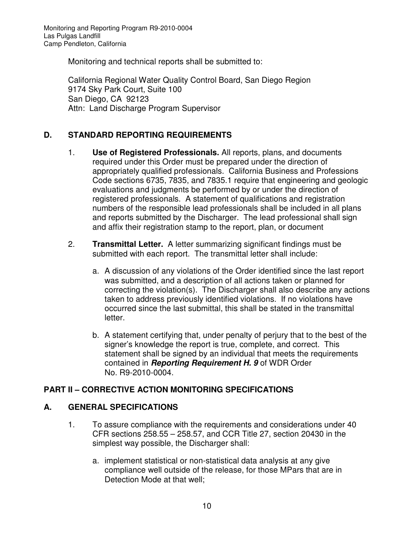Monitoring and technical reports shall be submitted to:

California Regional Water Quality Control Board, San Diego Region 9174 Sky Park Court, Suite 100 San Diego, CA 92123 Attn: Land Discharge Program Supervisor

# **D. STANDARD REPORTING REQUIREMENTS**

- 1. **Use of Registered Professionals.** All reports, plans, and documents required under this Order must be prepared under the direction of appropriately qualified professionals. California Business and Professions Code sections 6735, 7835, and 7835.1 require that engineering and geologic evaluations and judgments be performed by or under the direction of registered professionals. A statement of qualifications and registration numbers of the responsible lead professionals shall be included in all plans and reports submitted by the Discharger. The lead professional shall sign and affix their registration stamp to the report, plan, or document
- 2. **Transmittal Letter.** A letter summarizing significant findings must be submitted with each report. The transmittal letter shall include:
	- a. A discussion of any violations of the Order identified since the last report was submitted, and a description of all actions taken or planned for correcting the violation(s). The Discharger shall also describe any actions taken to address previously identified violations. If no violations have occurred since the last submittal, this shall be stated in the transmittal letter.
	- b. A statement certifying that, under penalty of perjury that to the best of the signer's knowledge the report is true, complete, and correct. This statement shall be signed by an individual that meets the requirements contained in **Reporting Requirement H. 9** of WDR Order No. R9-2010-0004.

## **PART II – CORRECTIVE ACTION MONITORING SPECIFICATIONS**

## **A. GENERAL SPECIFICATIONS**

- 1. To assure compliance with the requirements and considerations under 40 CFR sections 258.55 – 258.57, and CCR Title 27, section 20430 in the simplest way possible, the Discharger shall:
	- a. implement statistical or non-statistical data analysis at any give compliance well outside of the release, for those MPars that are in Detection Mode at that well;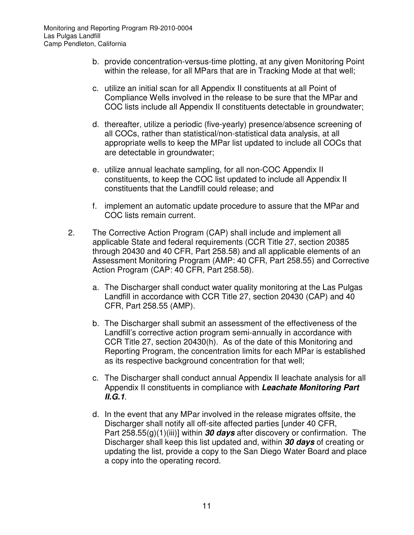- b. provide concentration-versus-time plotting, at any given Monitoring Point within the release, for all MPars that are in Tracking Mode at that well;
- c. utilize an initial scan for all Appendix II constituents at all Point of Compliance Wells involved in the release to be sure that the MPar and COC lists include all Appendix II constituents detectable in groundwater;
- d. thereafter, utilize a periodic (five-yearly) presence/absence screening of all COCs, rather than statistical/non-statistical data analysis, at all appropriate wells to keep the MPar list updated to include all COCs that are detectable in groundwater;
- e. utilize annual leachate sampling, for all non-COC Appendix II constituents, to keep the COC list updated to include all Appendix II constituents that the Landfill could release; and
- f. implement an automatic update procedure to assure that the MPar and COC lists remain current.
- 2. The Corrective Action Program (CAP) shall include and implement all applicable State and federal requirements (CCR Title 27, section 20385 through 20430 and 40 CFR, Part 258.58) and all applicable elements of an Assessment Monitoring Program (AMP: 40 CFR, Part 258.55) and Corrective Action Program (CAP: 40 CFR, Part 258.58).
	- a. The Discharger shall conduct water quality monitoring at the Las Pulgas Landfill in accordance with CCR Title 27, section 20430 (CAP) and 40 CFR, Part 258.55 (AMP).
	- b. The Discharger shall submit an assessment of the effectiveness of the Landfill's corrective action program semi-annually in accordance with CCR Title 27, section 20430(h). As of the date of this Monitoring and Reporting Program, the concentration limits for each MPar is established as its respective background concentration for that well;
	- c. The Discharger shall conduct annual Appendix II leachate analysis for all Appendix II constituents in compliance with **Leachate Monitoring Part II.G.1**.
	- d. In the event that any MPar involved in the release migrates offsite, the Discharger shall notify all off-site affected parties [under 40 CFR, Part 258.55(g)(1)(iii)] within **30 days** after discovery or confirmation. The Discharger shall keep this list updated and, within **30 days** of creating or updating the list, provide a copy to the San Diego Water Board and place a copy into the operating record.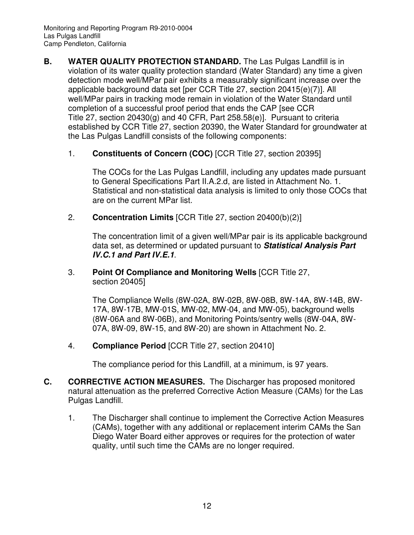- **B.** WATER QUALITY PROTECTION STANDARD. The Las Pulgas Landfill is in violation of its water quality protection standard (Water Standard) any time a given detection mode well/MPar pair exhibits a measurably significant increase over the applicable background data set [per CCR Title 27, section 20415(e)(7)]. All well/MPar pairs in tracking mode remain in violation of the Water Standard until completion of a successful proof period that ends the CAP [see CCR Title 27, section 20430(g) and 40 CFR, Part 258.58(e)]. Pursuant to criteria established by CCR Title 27, section 20390, the Water Standard for groundwater at the Las Pulgas Landfill consists of the following components:
	- 1. **Constituents of Concern (COC)** [CCR Title 27, section 20395]

The COCs for the Las Pulgas Landfill, including any updates made pursuant to General Specifications Part II.A.2.d, are listed in Attachment No. 1. Statistical and non-statistical data analysis is limited to only those COCs that are on the current MPar list.

2. **Concentration Limits** [CCR Title 27, section 20400(b)(2)]

The concentration limit of a given well/MPar pair is its applicable background data set, as determined or updated pursuant to **Statistical Analysis Part IV.C.1 and Part IV.E.1**.

3. **Point Of Compliance and Monitoring Wells** [CCR Title 27, section 20405]

> The Compliance Wells (8W-02A, 8W-02B, 8W-08B, 8W-14A, 8W-14B, 8W-17A, 8W-17B, MW-01S, MW-02, MW-04, and MW-05), background wells (8W-06A and 8W-06B), and Monitoring Points/sentry wells (8W-04A, 8W-07A, 8W-09, 8W-15, and 8W-20) are shown in Attachment No. 2.

4. **Compliance Period** [CCR Title 27, section 20410]

The compliance period for this Landfill, at a minimum, is 97 years.

- **C. CORRECTIVE ACTION MEASURES.** The Discharger has proposed monitored natural attenuation as the preferred Corrective Action Measure (CAMs) for the Las Pulgas Landfill.
	- 1. The Discharger shall continue to implement the Corrective Action Measures (CAMs), together with any additional or replacement interim CAMs the San Diego Water Board either approves or requires for the protection of water quality, until such time the CAMs are no longer required.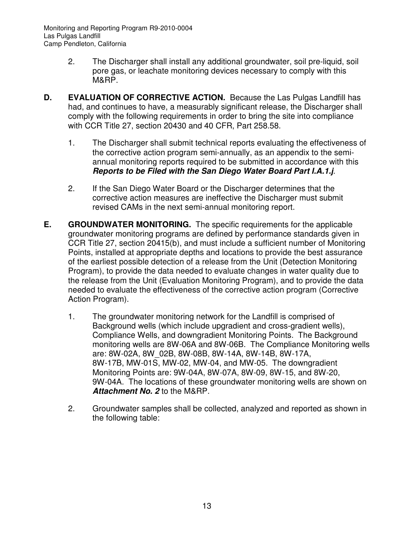Monitoring and Reporting Program R9-2010-0004 Las Pulgas Landfill Camp Pendleton, California

- 2. The Discharger shall install any additional groundwater, soil pre-liquid, soil pore gas, or leachate monitoring devices necessary to comply with this M&RP.
- **D. EVALUATION OF CORRECTIVE ACTION.** Because the Las Pulgas Landfill has had, and continues to have, a measurably significant release, the Discharger shall comply with the following requirements in order to bring the site into compliance with CCR Title 27, section 20430 and 40 CFR, Part 258.58.
	- 1. The Discharger shall submit technical reports evaluating the effectiveness of the corrective action program semi-annually, as an appendix to the semiannual monitoring reports required to be submitted in accordance with this **Reports to be Filed with the San Diego Water Board Part I.A.1.j**.
	- 2. If the San Diego Water Board or the Discharger determines that the corrective action measures are ineffective the Discharger must submit revised CAMs in the next semi-annual monitoring report.
- **E.** GROUNDWATER MONITORING. The specific requirements for the applicable groundwater monitoring programs are defined by performance standards given in CCR Title 27, section 20415(b), and must include a sufficient number of Monitoring Points, installed at appropriate depths and locations to provide the best assurance of the earliest possible detection of a release from the Unit (Detection Monitoring Program), to provide the data needed to evaluate changes in water quality due to the release from the Unit (Evaluation Monitoring Program), and to provide the data needed to evaluate the effectiveness of the corrective action program (Corrective Action Program).
	- 1. The groundwater monitoring network for the Landfill is comprised of Background wells (which include upgradient and cross-gradient wells), Compliance Wells, and downgradient Monitoring Points. The Background monitoring wells are 8W-06A and 8W-06B. The Compliance Monitoring wells are: 8W-02A, 8W\_02B, 8W-08B, 8W-14A, 8W-14B, 8W-17A, 8W-17B, MW-01S, MW-02, MW-04, and MW-05. The downgradient Monitoring Points are: 9W-04A, 8W-07A, 8W-09, 8W-15, and 8W-20, 9W-04A. The locations of these groundwater monitoring wells are shown on **Attachment No. 2** to the M&RP.
	- 2. Groundwater samples shall be collected, analyzed and reported as shown in the following table: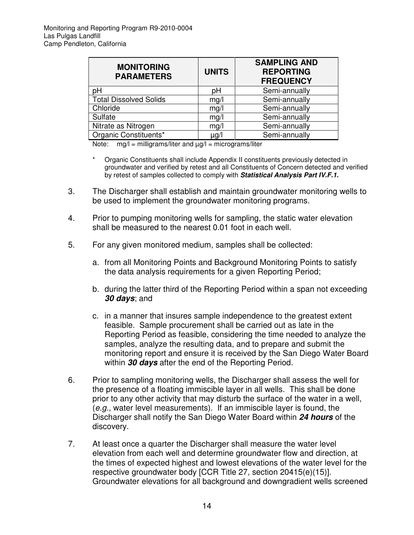| <b>MONITORING</b><br><b>PARAMETERS</b> | <b>UNITS</b> | <b>SAMPLING AND</b><br><b>REPORTING</b><br><b>FREQUENCY</b> |
|----------------------------------------|--------------|-------------------------------------------------------------|
| рH                                     | рH           | Semi-annually                                               |
| <b>Total Dissolved Solids</b>          | mg/l         | Semi-annually                                               |
| Chloride                               | mg/l         | Semi-annually                                               |
| Sulfate                                | mg/l         | Semi-annually                                               |
| Nitrate as Nitrogen                    | mg/l         | Semi-annually                                               |
| Organic Constituents*                  | µg/l         | Semi-annually                                               |

Note:  $mg/l =$  milligrams/liter and  $\mu g/l =$  micrograms/liter

- Organic Constituents shall include Appendix II constituents previously detected in groundwater and verified by retest and all Constituents of Concern detected and verified by retest of samples collected to comply with **Statistical Analysis Part IV.F.1.**
- 3. The Discharger shall establish and maintain groundwater monitoring wells to be used to implement the groundwater monitoring programs.
- 4. Prior to pumping monitoring wells for sampling, the static water elevation shall be measured to the nearest 0.01 foot in each well.
- 5. For any given monitored medium, samples shall be collected:
	- a. from all Monitoring Points and Background Monitoring Points to satisfy the data analysis requirements for a given Reporting Period;
	- b. during the latter third of the Reporting Period within a span not exceeding **30 days**; and
	- c. in a manner that insures sample independence to the greatest extent feasible. Sample procurement shall be carried out as late in the Reporting Period as feasible, considering the time needed to analyze the samples, analyze the resulting data, and to prepare and submit the monitoring report and ensure it is received by the San Diego Water Board within **30 days** after the end of the Reporting Period.
- 6. Prior to sampling monitoring wells, the Discharger shall assess the well for the presence of a floating immiscible layer in all wells. This shall be done prior to any other activity that may disturb the surface of the water in a well, (e.g., water level measurements). If an immiscible layer is found, the Discharger shall notify the San Diego Water Board within **24 hours** of the discovery.
- 7. At least once a quarter the Discharger shall measure the water level elevation from each well and determine groundwater flow and direction, at the times of expected highest and lowest elevations of the water level for the respective groundwater body [CCR Title 27, section 20415(e)(15)]. Groundwater elevations for all background and downgradient wells screened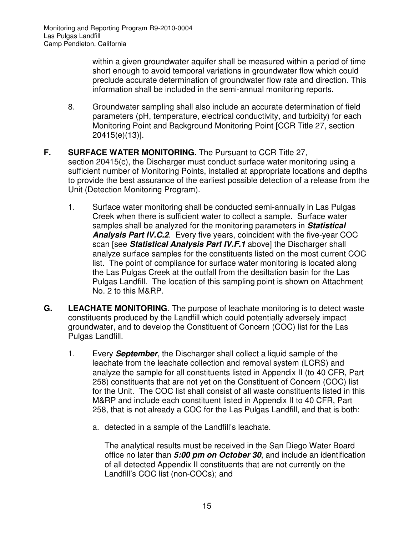within a given groundwater aquifer shall be measured within a period of time short enough to avoid temporal variations in groundwater flow which could preclude accurate determination of groundwater flow rate and direction. This information shall be included in the semi-annual monitoring reports.

- 8. Groundwater sampling shall also include an accurate determination of field parameters (pH, temperature, electrical conductivity, and turbidity) for each Monitoring Point and Background Monitoring Point [CCR Title 27, section 20415(e)(13)].
- **F. SURFACE WATER MONITORING.** The Pursuant to CCR Title 27, section 20415(c), the Discharger must conduct surface water monitoring using a sufficient number of Monitoring Points, installed at appropriate locations and depths to provide the best assurance of the earliest possible detection of a release from the Unit (Detection Monitoring Program).
	- 1. Surface water monitoring shall be conducted semi-annually in Las Pulgas Creek when there is sufficient water to collect a sample. Surface water samples shall be analyzed for the monitoring parameters in **Statistical Analysis Part IV.C.2**. Every five years, coincident with the five-year COC scan [see **Statistical Analysis Part IV.F.1** above] the Discharger shall analyze surface samples for the constituents listed on the most current COC list. The point of compliance for surface water monitoring is located along the Las Pulgas Creek at the outfall from the desiltation basin for the Las Pulgas Landfill. The location of this sampling point is shown on Attachment No. 2 to this M&RP.
- **G. LEACHATE MONITORING**. The purpose of leachate monitoring is to detect waste constituents produced by the Landfill which could potentially adversely impact groundwater, and to develop the Constituent of Concern (COC) list for the Las Pulgas Landfill.
	- 1. Every **September**, the Discharger shall collect a liquid sample of the leachate from the leachate collection and removal system (LCRS) and analyze the sample for all constituents listed in Appendix II (to 40 CFR, Part 258) constituents that are not yet on the Constituent of Concern (COC) list for the Unit. The COC list shall consist of all waste constituents listed in this M&RP and include each constituent listed in Appendix II to 40 CFR, Part 258, that is not already a COC for the Las Pulgas Landfill, and that is both:
		- a. detected in a sample of the Landfill's leachate.

The analytical results must be received in the San Diego Water Board office no later than **5:00 pm on October 30**, and include an identification of all detected Appendix II constituents that are not currently on the Landfill's COC list (non-COCs); and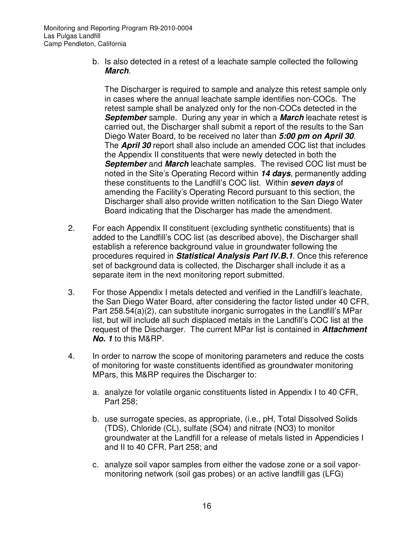b. Is also detected in a retest of a leachate sample collected the following **March**.

The Discharger is required to sample and analyze this retest sample only in cases where the annual leachate sample identifies non-COCs. The retest sample shall be analyzed only for the non-COCs detected in the **September** sample. During any year in which a **March** leachate retest is carried out, the Discharger shall submit a report of the results to the San Diego Water Board, to be received no later than **5:00 pm on April 30**. The **April 30** report shall also include an amended COC list that includes the Appendix II constituents that were newly detected in both the **September** and **March** leachate samples. The revised COC list must be noted in the Site's Operating Record within **14 days**, permanently adding these constituents to the Landfill's COC list. Within **seven days** of amending the Facility's Operating Record pursuant to this section, the Discharger shall also provide written notification to the San Diego Water Board indicating that the Discharger has made the amendment.

- 2. For each Appendix II constituent (excluding synthetic constituents) that is added to the Landfill's COC list (as described above), the Discharger shall establish a reference background value in groundwater following the procedures required in **Statistical Analysis Part IV.B.1**. Once this reference set of background data is collected, the Discharger shall include it as a separate item in the next monitoring report submitted.
- 3. For those Appendix I metals detected and verified in the Landfill's leachate, the San Diego Water Board, after considering the factor listed under 40 CFR, Part 258.54(a)(2), can substitute inorganic surrogates in the Landfill's MPar list, but will include all such displaced metals in the Landfill's COC list at the request of the Discharger. The current MPar list is contained in **Attachment No. 1** to this M&RP.
- 4. In order to narrow the scope of monitoring parameters and reduce the costs of monitoring for waste constituents identified as groundwater monitoring MPars, this M&RP requires the Discharger to:
	- a. analyze for volatile organic constituents listed in Appendix I to 40 CFR, Part 258;
	- b. use surrogate species, as appropriate, (i.e., pH, Total Dissolved Solids (TDS), Chloride (CL), sulfate (SO4) and nitrate (NO3) to monitor groundwater at the Landfill for a release of metals listed in Appendicies I and II to 40 CFR, Part 258; and
	- c. analyze soil vapor samples from either the vadose zone or a soil vapormonitoring network (soil gas probes) or an active landfill gas (LFG)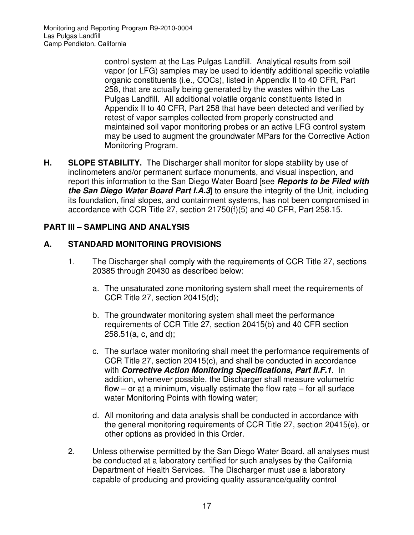control system at the Las Pulgas Landfill. Analytical results from soil vapor (or LFG) samples may be used to identify additional specific volatile organic constituents (i.e., COCs), listed in Appendix II to 40 CFR, Part 258, that are actually being generated by the wastes within the Las Pulgas Landfill. All additional volatile organic constituents listed in Appendix II to 40 CFR, Part 258 that have been detected and verified by retest of vapor samples collected from properly constructed and maintained soil vapor monitoring probes or an active LFG control system may be used to augment the groundwater MPars for the Corrective Action Monitoring Program.

**H. SLOPE STABILITY.** The Discharger shall monitor for slope stability by use of inclinometers and/or permanent surface monuments, and visual inspection, and report this information to the San Diego Water Board [see **Reports to be Filed with the San Diego Water Board Part I.A.3** to ensure the integrity of the Unit, including its foundation, final slopes, and containment systems, has not been compromised in accordance with CCR Title 27, section 21750(f)(5) and 40 CFR, Part 258.15.

### **PART III – SAMPLING AND ANALYSIS**

### **A. STANDARD MONITORING PROVISIONS**

- 1. The Discharger shall comply with the requirements of CCR Title 27, sections 20385 through 20430 as described below:
	- a. The unsaturated zone monitoring system shall meet the requirements of CCR Title 27, section 20415(d);
	- b. The groundwater monitoring system shall meet the performance requirements of CCR Title 27, section 20415(b) and 40 CFR section 258.51(a, c, and d);
	- c. The surface water monitoring shall meet the performance requirements of CCR Title 27, section 20415(c), and shall be conducted in accordance with **Corrective Action Monitoring Specifications, Part II.F.1**. In addition, whenever possible, the Discharger shall measure volumetric flow  $-$  or at a minimum, visually estimate the flow rate  $-$  for all surface water Monitoring Points with flowing water;
	- d. All monitoring and data analysis shall be conducted in accordance with the general monitoring requirements of CCR Title 27, section 20415(e), or other options as provided in this Order.
- 2. Unless otherwise permitted by the San Diego Water Board, all analyses must be conducted at a laboratory certified for such analyses by the California Department of Health Services. The Discharger must use a laboratory capable of producing and providing quality assurance/quality control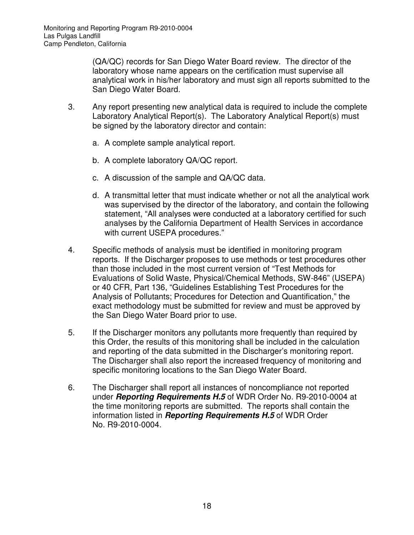(QA/QC) records for San Diego Water Board review. The director of the laboratory whose name appears on the certification must supervise all analytical work in his/her laboratory and must sign all reports submitted to the San Diego Water Board.

- 3. Any report presenting new analytical data is required to include the complete Laboratory Analytical Report(s). The Laboratory Analytical Report(s) must be signed by the laboratory director and contain:
	- a. A complete sample analytical report.
	- b. A complete laboratory QA/QC report.
	- c. A discussion of the sample and QA/QC data.
	- d. A transmittal letter that must indicate whether or not all the analytical work was supervised by the director of the laboratory, and contain the following statement, "All analyses were conducted at a laboratory certified for such analyses by the California Department of Health Services in accordance with current USEPA procedures."
- 4. Specific methods of analysis must be identified in monitoring program reports. If the Discharger proposes to use methods or test procedures other than those included in the most current version of "Test Methods for Evaluations of Solid Waste, Physical/Chemical Methods, SW-846" (USEPA) or 40 CFR, Part 136, "Guidelines Establishing Test Procedures for the Analysis of Pollutants; Procedures for Detection and Quantification," the exact methodology must be submitted for review and must be approved by the San Diego Water Board prior to use.
- 5. If the Discharger monitors any pollutants more frequently than required by this Order, the results of this monitoring shall be included in the calculation and reporting of the data submitted in the Discharger's monitoring report. The Discharger shall also report the increased frequency of monitoring and specific monitoring locations to the San Diego Water Board.
- 6. The Discharger shall report all instances of noncompliance not reported under **Reporting Requirements H.5** of WDR Order No. R9-2010-0004 at the time monitoring reports are submitted. The reports shall contain the information listed in **Reporting Requirements H.5** of WDR Order No. R9-2010-0004.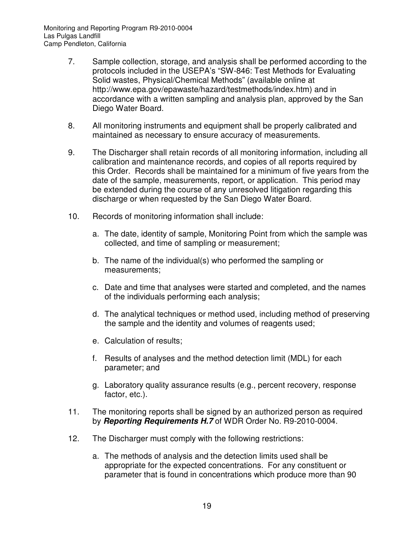- 7. Sample collection, storage, and analysis shall be performed according to the protocols included in the USEPA's "SW-846: Test Methods for Evaluating Solid wastes, Physical/Chemical Methods" (available online at http://www.epa.gov/epawaste/hazard/testmethods/index.htm) and in accordance with a written sampling and analysis plan, approved by the San Diego Water Board.
- 8. All monitoring instruments and equipment shall be properly calibrated and maintained as necessary to ensure accuracy of measurements.
- 9. The Discharger shall retain records of all monitoring information, including all calibration and maintenance records, and copies of all reports required by this Order. Records shall be maintained for a minimum of five years from the date of the sample, measurements, report, or application. This period may be extended during the course of any unresolved litigation regarding this discharge or when requested by the San Diego Water Board.
- 10. Records of monitoring information shall include:
	- a. The date, identity of sample, Monitoring Point from which the sample was collected, and time of sampling or measurement;
	- b. The name of the individual(s) who performed the sampling or measurements;
	- c. Date and time that analyses were started and completed, and the names of the individuals performing each analysis;
	- d. The analytical techniques or method used, including method of preserving the sample and the identity and volumes of reagents used;
	- e. Calculation of results;
	- f. Results of analyses and the method detection limit (MDL) for each parameter; and
	- g. Laboratory quality assurance results (e.g., percent recovery, response factor, etc.).
- 11. The monitoring reports shall be signed by an authorized person as required by **Reporting Requirements H.7** of WDR Order No. R9-2010-0004.
- 12. The Discharger must comply with the following restrictions:
	- a. The methods of analysis and the detection limits used shall be appropriate for the expected concentrations. For any constituent or parameter that is found in concentrations which produce more than 90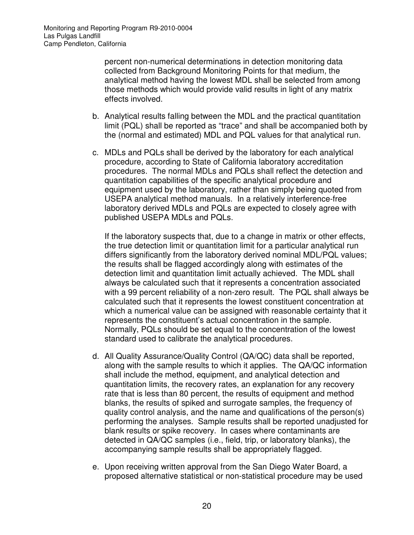percent non-numerical determinations in detection monitoring data collected from Background Monitoring Points for that medium, the analytical method having the lowest MDL shall be selected from among those methods which would provide valid results in light of any matrix effects involved.

- b. Analytical results falling between the MDL and the practical quantitation limit (PQL) shall be reported as "trace" and shall be accompanied both by the (normal and estimated) MDL and PQL values for that analytical run.
- c. MDLs and PQLs shall be derived by the laboratory for each analytical procedure, according to State of California laboratory accreditation procedures. The normal MDLs and PQLs shall reflect the detection and quantitation capabilities of the specific analytical procedure and equipment used by the laboratory, rather than simply being quoted from USEPA analytical method manuals. In a relatively interference-free laboratory derived MDLs and PQLs are expected to closely agree with published USEPA MDLs and PQLs.

If the laboratory suspects that, due to a change in matrix or other effects, the true detection limit or quantitation limit for a particular analytical run differs significantly from the laboratory derived nominal MDL/PQL values; the results shall be flagged accordingly along with estimates of the detection limit and quantitation limit actually achieved. The MDL shall always be calculated such that it represents a concentration associated with a 99 percent reliability of a non-zero result. The PQL shall always be calculated such that it represents the lowest constituent concentration at which a numerical value can be assigned with reasonable certainty that it represents the constituent's actual concentration in the sample. Normally, PQLs should be set equal to the concentration of the lowest standard used to calibrate the analytical procedures.

- d. All Quality Assurance/Quality Control (QA/QC) data shall be reported, along with the sample results to which it applies. The QA/QC information shall include the method, equipment, and analytical detection and quantitation limits, the recovery rates, an explanation for any recovery rate that is less than 80 percent, the results of equipment and method blanks, the results of spiked and surrogate samples, the frequency of quality control analysis, and the name and qualifications of the person(s) performing the analyses. Sample results shall be reported unadjusted for blank results or spike recovery. In cases where contaminants are detected in QA/QC samples (i.e., field, trip, or laboratory blanks), the accompanying sample results shall be appropriately flagged.
- e. Upon receiving written approval from the San Diego Water Board, a proposed alternative statistical or non-statistical procedure may be used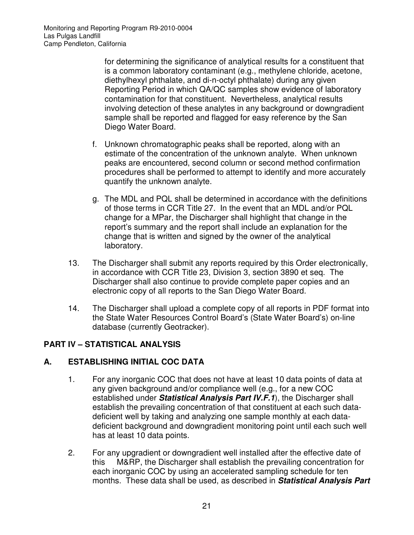for determining the significance of analytical results for a constituent that is a common laboratory contaminant (e.g., methylene chloride, acetone, diethylhexyl phthalate, and di-n-octyl phthalate) during any given Reporting Period in which QA/QC samples show evidence of laboratory contamination for that constituent. Nevertheless, analytical results involving detection of these analytes in any background or downgradient sample shall be reported and flagged for easy reference by the San Diego Water Board.

- f. Unknown chromatographic peaks shall be reported, along with an estimate of the concentration of the unknown analyte. When unknown peaks are encountered, second column or second method confirmation procedures shall be performed to attempt to identify and more accurately quantify the unknown analyte.
- g. The MDL and PQL shall be determined in accordance with the definitions of those terms in CCR Title 27. In the event that an MDL and/or PQL change for a MPar, the Discharger shall highlight that change in the report's summary and the report shall include an explanation for the change that is written and signed by the owner of the analytical laboratory.
- 13. The Discharger shall submit any reports required by this Order electronically, in accordance with CCR Title 23, Division 3, section 3890 et seq. The Discharger shall also continue to provide complete paper copies and an electronic copy of all reports to the San Diego Water Board.
- 14. The Discharger shall upload a complete copy of all reports in PDF format into the State Water Resources Control Board's (State Water Board's) on-line database (currently Geotracker).

## **PART IV – STATISTICAL ANALYSIS**

### **A. ESTABLISHING INITIAL COC DATA**

- 1. For any inorganic COC that does not have at least 10 data points of data at any given background and/or compliance well (e.g., for a new COC established under **Statistical Analysis Part IV.F.1**), the Discharger shall establish the prevailing concentration of that constituent at each such datadeficient well by taking and analyzing one sample monthly at each datadeficient background and downgradient monitoring point until each such well has at least 10 data points.
- 2. For any upgradient or downgradient well installed after the effective date of this M&RP, the Discharger shall establish the prevailing concentration for each inorganic COC by using an accelerated sampling schedule for ten months. These data shall be used, as described in **Statistical Analysis Part**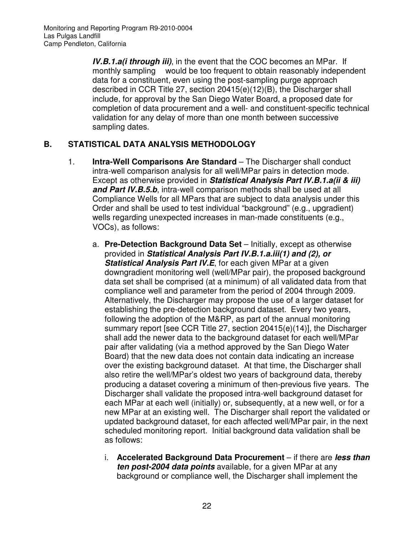**IV.B.1.a(i through iii)**, in the event that the COC becomes an MPar. If monthly sampling would be too frequent to obtain reasonably independent data for a constituent, even using the post-sampling purge approach described in CCR Title 27, section 20415(e)(12)(B), the Discharger shall include, for approval by the San Diego Water Board, a proposed date for completion of data procurement and a well- and constituent-specific technical validation for any delay of more than one month between successive sampling dates.

### **B. STATISTICAL DATA ANALYSIS METHODOLOGY**

- 1. **Intra-Well Comparisons Are Standard** The Discharger shall conduct intra-well comparison analysis for all well/MPar pairs in detection mode. Except as otherwise provided in **Statistical Analysis Part IV.B.1.a(ii & iii) and Part IV.B.5.b**, intra-well comparison methods shall be used at all Compliance Wells for all MPars that are subject to data analysis under this Order and shall be used to test individual "background" (e.g., upgradient) wells regarding unexpected increases in man-made constituents (e.g., VOCs), as follows:
	- a. **Pre-Detection Background Data Set** Initially, except as otherwise provided in **Statistical Analysis Part IV.B.1.a.iii(1) and (2), or Statistical Analysis Part IV.E**, for each given MPar at a given downgradient monitoring well (well/MPar pair), the proposed background data set shall be comprised (at a minimum) of all validated data from that compliance well and parameter from the period of 2004 through 2009. Alternatively, the Discharger may propose the use of a larger dataset for establishing the pre-detection background dataset. Every two years, following the adoption of the M&RP, as part of the annual monitoring summary report [see CCR Title 27, section 20415(e)(14)], the Discharger shall add the newer data to the background dataset for each well/MPar pair after validating (via a method approved by the San Diego Water Board) that the new data does not contain data indicating an increase over the existing background dataset. At that time, the Discharger shall also retire the well/MPar's oldest two years of background data, thereby producing a dataset covering a minimum of then-previous five years. The Discharger shall validate the proposed intra-well background dataset for each MPar at each well (initially) or, subsequently, at a new well, or for a new MPar at an existing well. The Discharger shall report the validated or updated background dataset, for each affected well/MPar pair, in the next scheduled monitoring report. Initial background data validation shall be as follows:
		- i. **Accelerated Background Data Procurement** if there are **less than ten post-2004 data points** available, for a given MPar at any background or compliance well, the Discharger shall implement the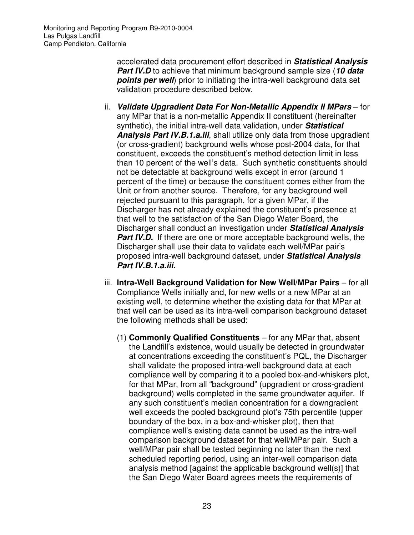Monitoring and Reporting Program R9-2010-0004 Las Pulgas Landfill Camp Pendleton, California

> accelerated data procurement effort described in **Statistical Analysis Part IV.D** to achieve that minimum background sample size (**10 data points per well**) prior to initiating the intra-well background data set validation procedure described below.

- ii. **Validate Upgradient Data For Non-Metallic Appendix II MPars** for any MPar that is a non-metallic Appendix II constituent (hereinafter synthetic), the initial intra-well data validation, under **Statistical Analysis Part IV.B.1.a.iii**, shall utilize only data from those upgradient (or cross-gradient) background wells whose post-2004 data, for that constituent, exceeds the constituent's method detection limit in less than 10 percent of the well's data. Such synthetic constituents should not be detectable at background wells except in error (around 1 percent of the time) or because the constituent comes either from the Unit or from another source. Therefore, for any background well rejected pursuant to this paragraph, for a given MPar, if the Discharger has not already explained the constituent's presence at that well to the satisfaction of the San Diego Water Board, the Discharger shall conduct an investigation under **Statistical Analysis Part IV.D.** If there are one or more acceptable background wells, the Discharger shall use their data to validate each well/MPar pair's proposed intra-well background dataset, under **Statistical Analysis Part IV.B.1.a.iii.**
- iii. **Intra-Well Background Validation for New Well/MPar Pairs** for all Compliance Wells initially and, for new wells or a new MPar at an existing well, to determine whether the existing data for that MPar at that well can be used as its intra-well comparison background dataset the following methods shall be used:
	- (1) **Commonly Qualified Constituents** for any MPar that, absent the Landfill's existence, would usually be detected in groundwater at concentrations exceeding the constituent's PQL, the Discharger shall validate the proposed intra-well background data at each compliance well by comparing it to a pooled box-and-whiskers plot, for that MPar, from all "background" (upgradient or cross-gradient background) wells completed in the same groundwater aquifer. If any such constituent's median concentration for a downgradient well exceeds the pooled background plot's 75th percentile (upper boundary of the box, in a box-and-whisker plot), then that compliance well's existing data cannot be used as the intra-well comparison background dataset for that well/MPar pair. Such a well/MPar pair shall be tested beginning no later than the next scheduled reporting period, using an inter-well comparison data analysis method [against the applicable background well(s)] that the San Diego Water Board agrees meets the requirements of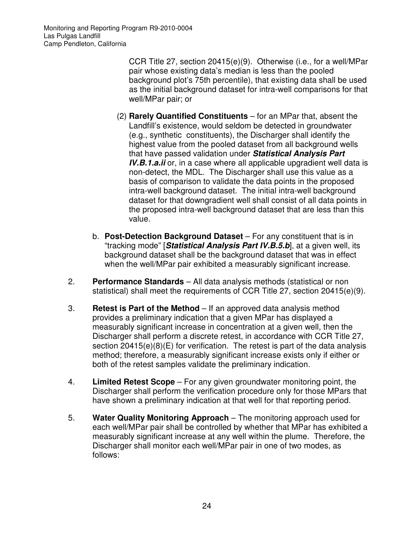Monitoring and Reporting Program R9-2010-0004 Las Pulgas Landfill Camp Pendleton, California

> CCR Title 27, section 20415(e)(9). Otherwise (i.e., for a well/MPar pair whose existing data's median is less than the pooled background plot's 75th percentile), that existing data shall be used as the initial background dataset for intra-well comparisons for that well/MPar pair; or

- (2) **Rarely Quantified Constituents** for an MPar that, absent the Landfill's existence, would seldom be detected in groundwater (e.g., synthetic constituents), the Discharger shall identify the highest value from the pooled dataset from all background wells that have passed validation under **Statistical Analysis Part IV.B.1.a.ii** or, in a case where all applicable upgradient well data is non-detect, the MDL. The Discharger shall use this value as a basis of comparison to validate the data points in the proposed intra-well background dataset. The initial intra-well background dataset for that downgradient well shall consist of all data points in the proposed intra-well background dataset that are less than this value.
- b. **Post-Detection Background Dataset** For any constituent that is in "tracking mode" [**Statistical Analysis Part IV.B.5.b**], at a given well, its background dataset shall be the background dataset that was in effect when the well/MPar pair exhibited a measurably significant increase.
- 2. **Performance Standards** All data analysis methods (statistical or non statistical) shall meet the requirements of CCR Title 27, section 20415(e)(9).
- 3. **Retest is Part of the Method** If an approved data analysis method provides a preliminary indication that a given MPar has displayed a measurably significant increase in concentration at a given well, then the Discharger shall perform a discrete retest, in accordance with CCR Title 27, section 20415(e)(8)(E) for verification. The retest is part of the data analysis method; therefore, a measurably significant increase exists only if either or both of the retest samples validate the preliminary indication.
- 4. **Limited Retest Scope** For any given groundwater monitoring point, the Discharger shall perform the verification procedure only for those MPars that have shown a preliminary indication at that well for that reporting period.
- 5. **Water Quality Monitoring Approach** The monitoring approach used for each well/MPar pair shall be controlled by whether that MPar has exhibited a measurably significant increase at any well within the plume. Therefore, the Discharger shall monitor each well/MPar pair in one of two modes, as follows: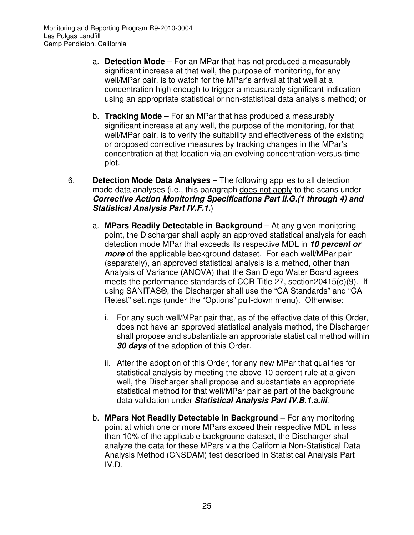- a. **Detection Mode**  For an MPar that has not produced a measurably significant increase at that well, the purpose of monitoring, for any well/MPar pair, is to watch for the MPar's arrival at that well at a concentration high enough to trigger a measurably significant indication using an appropriate statistical or non-statistical data analysis method; or
- b. **Tracking Mode** For an MPar that has produced a measurably significant increase at any well, the purpose of the monitoring, for that well/MPar pair, is to verify the suitability and effectiveness of the existing or proposed corrective measures by tracking changes in the MPar's concentration at that location via an evolving concentration-versus-time plot.
- 6. **Detection Mode Data Analyses** The following applies to all detection mode data analyses (i.e., this paragraph does not apply to the scans under **Corrective Action Monitoring Specifications Part II.G.(1 through 4) and Statistical Analysis Part IV.F.1.**)
	- a. **MPars Readily Detectable in Background** At any given monitoring point, the Discharger shall apply an approved statistical analysis for each detection mode MPar that exceeds its respective MDL in **10 percent or more** of the applicable background dataset. For each well/MPar pair (separately), an approved statistical analysis is a method, other than Analysis of Variance (ANOVA) that the San Diego Water Board agrees meets the performance standards of CCR Title 27, section20415(e)(9). If using SANITAS®, the Discharger shall use the "CA Standards" and "CA Retest" settings (under the "Options" pull-down menu). Otherwise:
		- i. For any such well/MPar pair that, as of the effective date of this Order, does not have an approved statistical analysis method, the Discharger shall propose and substantiate an appropriate statistical method within **30 days** of the adoption of this Order.
		- ii. After the adoption of this Order, for any new MPar that qualifies for statistical analysis by meeting the above 10 percent rule at a given well, the Discharger shall propose and substantiate an appropriate statistical method for that well/MPar pair as part of the background data validation under **Statistical Analysis Part IV.B.1.a.iii**.
	- b. **MPars Not Readily Detectable in Background** For any monitoring point at which one or more MPars exceed their respective MDL in less than 10% of the applicable background dataset, the Discharger shall analyze the data for these MPars via the California Non-Statistical Data Analysis Method (CNSDAM) test described in Statistical Analysis Part IV.D.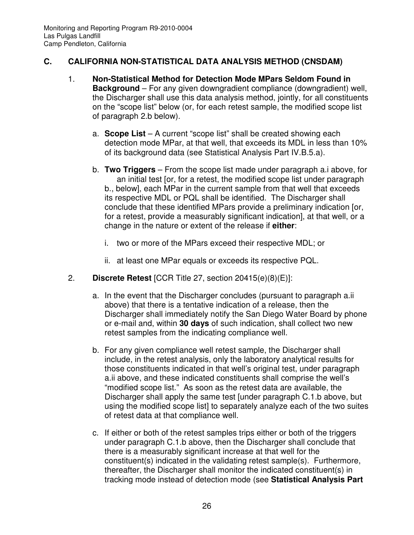### **C. CALIFORNIA NON-STATISTICAL DATA ANALYSIS METHOD (CNSDAM)**

- 1. **Non-Statistical Method for Detection Mode MPars Seldom Found in Background** – For any given downgradient compliance (downgradient) well, the Discharger shall use this data analysis method, jointly, for all constituents on the "scope list" below (or, for each retest sample, the modified scope list of paragraph 2.b below).
	- a. **Scope List** A current "scope list" shall be created showing each detection mode MPar, at that well, that exceeds its MDL in less than 10% of its background data (see Statistical Analysis Part IV.B.5.a).
	- b. **Two Triggers** From the scope list made under paragraph a.i above, for an initial test [or, for a retest, the modified scope list under paragraph b., below], each MPar in the current sample from that well that exceeds its respective MDL or PQL shall be identified. The Discharger shall conclude that these identified MPars provide a preliminary indication [or, for a retest, provide a measurably significant indication], at that well, or a change in the nature or extent of the release if **either**:
		- i. two or more of the MPars exceed their respective MDL; or
		- ii. at least one MPar equals or exceeds its respective PQL.
- 2. **Discrete Retest** [CCR Title 27, section 20415(e)(8)(E)]:
	- a. In the event that the Discharger concludes (pursuant to paragraph a.ii above) that there is a tentative indication of a release, then the Discharger shall immediately notify the San Diego Water Board by phone or e-mail and, within **30 days** of such indication, shall collect two new retest samples from the indicating compliance well.
	- b. For any given compliance well retest sample, the Discharger shall include, in the retest analysis, only the laboratory analytical results for those constituents indicated in that well's original test, under paragraph a.ii above, and these indicated constituents shall comprise the well's "modified scope list." As soon as the retest data are available, the Discharger shall apply the same test [under paragraph C.1.b above, but using the modified scope list] to separately analyze each of the two suites of retest data at that compliance well.
	- c. If either or both of the retest samples trips either or both of the triggers under paragraph C.1.b above, then the Discharger shall conclude that there is a measurably significant increase at that well for the constituent(s) indicated in the validating retest sample(s). Furthermore, thereafter, the Discharger shall monitor the indicated constituent(s) in tracking mode instead of detection mode (see **Statistical Analysis Part**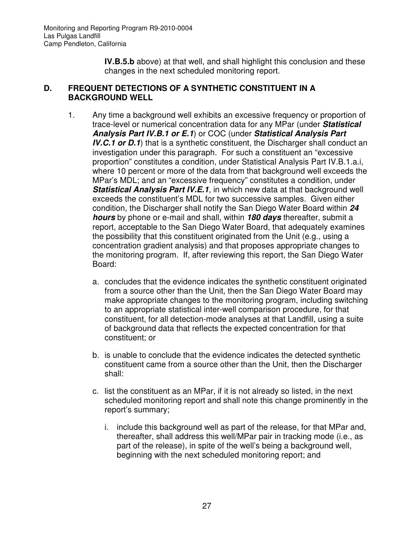**IV.B.5.b** above) at that well, and shall highlight this conclusion and these changes in the next scheduled monitoring report.

#### **D. FREQUENT DETECTIONS OF A SYNTHETIC CONSTITUENT IN A BACKGROUND WELL**

- 1. Any time a background well exhibits an excessive frequency or proportion of trace-level or numerical concentration data for any MPar (under **Statistical Analysis Part IV.B.1 or E.1**) or COC (under **Statistical Analysis Part IV.C.1 or D.1**) that is a synthetic constituent, the Discharger shall conduct an investigation under this paragraph. For such a constituent an "excessive proportion" constitutes a condition, under Statistical Analysis Part IV.B.1.a.i, where 10 percent or more of the data from that background well exceeds the MPar's MDL; and an "excessive frequency" constitutes a condition, under **Statistical Analysis Part IV.E.1**, in which new data at that background well exceeds the constituent's MDL for two successive samples. Given either condition, the Discharger shall notify the San Diego Water Board within **24 hours** by phone or e-mail and shall, within **180 days** thereafter, submit a report, acceptable to the San Diego Water Board, that adequately examines the possibility that this constituent originated from the Unit (e.g., using a concentration gradient analysis) and that proposes appropriate changes to the monitoring program. If, after reviewing this report, the San Diego Water Board:
	- a. concludes that the evidence indicates the synthetic constituent originated from a source other than the Unit, then the San Diego Water Board may make appropriate changes to the monitoring program, including switching to an appropriate statistical inter-well comparison procedure, for that constituent, for all detection-mode analyses at that Landfill, using a suite of background data that reflects the expected concentration for that constituent; or
	- b. is unable to conclude that the evidence indicates the detected synthetic constituent came from a source other than the Unit, then the Discharger shall:
	- c. list the constituent as an MPar, if it is not already so listed, in the next scheduled monitoring report and shall note this change prominently in the report's summary;
		- i. include this background well as part of the release, for that MPar and, thereafter, shall address this well/MPar pair in tracking mode (i.e., as part of the release), in spite of the well's being a background well, beginning with the next scheduled monitoring report; and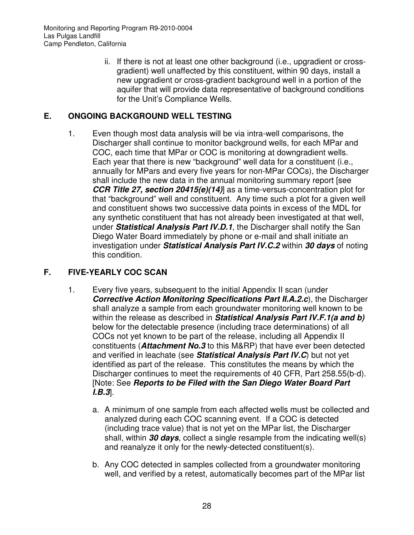ii. If there is not at least one other background (i.e., upgradient or crossgradient) well unaffected by this constituent, within 90 days, install a new upgradient or cross-gradient background well in a portion of the aquifer that will provide data representative of background conditions for the Unit's Compliance Wells.

# **E. ONGOING BACKGROUND WELL TESTING**

1. Even though most data analysis will be via intra-well comparisons, the Discharger shall continue to monitor background wells, for each MPar and COC, each time that MPar or COC is monitoring at downgradient wells. Each year that there is new "background" well data for a constituent (i.e., annually for MPars and every five years for non-MPar COCs), the Discharger shall include the new data in the annual monitoring summary report [see **CCR Title 27, section 20415(e)(14)**] as a time-versus-concentration plot for that "background" well and constituent. Any time such a plot for a given well and constituent shows two successive data points in excess of the MDL for any synthetic constituent that has not already been investigated at that well, under **Statistical Analysis Part IV.D.1**, the Discharger shall notify the San Diego Water Board immediately by phone or e-mail and shall initiate an investigation under **Statistical Analysis Part IV.C.2** within **30 days** of noting this condition.

## **F. FIVE-YEARLY COC SCAN**

- 1. Every five years, subsequent to the initial Appendix II scan (under **Corrective Action Monitoring Specifications Part II.A.2.c**), the Discharger shall analyze a sample from each groundwater monitoring well known to be within the release as described in **Statistical Analysis Part IV.F.1(a and b)** below for the detectable presence (including trace determinations) of all COCs not yet known to be part of the release, including all Appendix II constituents (**Attachment No.3** to this M&RP) that have ever been detected and verified in leachate (see **Statistical Analysis Part IV.C**) but not yet identified as part of the release. This constitutes the means by which the Discharger continues to meet the requirements of 40 CFR, Part 258.55(b-d). [Note: See **Reports to be Filed with the San Diego Water Board Part I.B.3**].
	- a. A minimum of one sample from each affected wells must be collected and analyzed during each COC scanning event. If a COC is detected (including trace value) that is not yet on the MPar list, the Discharger shall, within **30 days**, collect a single resample from the indicating well(s) and reanalyze it only for the newly-detected constituent(s).
	- b. Any COC detected in samples collected from a groundwater monitoring well, and verified by a retest, automatically becomes part of the MPar list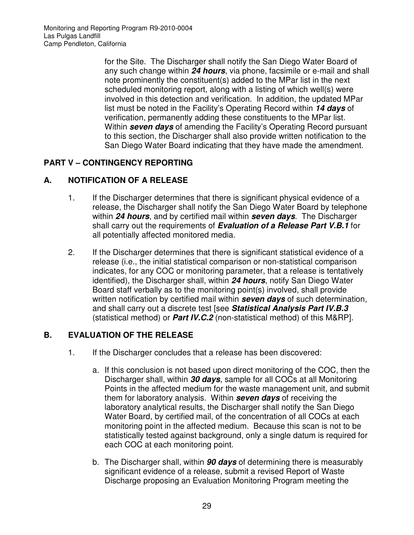for the Site. The Discharger shall notify the San Diego Water Board of any such change within **24 hours**, via phone, facsimile or e-mail and shall note prominently the constituent(s) added to the MPar list in the next scheduled monitoring report, along with a listing of which well(s) were involved in this detection and verification. In addition, the updated MPar list must be noted in the Facility's Operating Record within **14 days** of verification, permanently adding these constituents to the MPar list. Within **seven days** of amending the Facility's Operating Record pursuant to this section, the Discharger shall also provide written notification to the San Diego Water Board indicating that they have made the amendment.

# **PART V – CONTINGENCY REPORTING**

## **A. NOTIFICATION OF A RELEASE**

- 1. If the Discharger determines that there is significant physical evidence of a release, the Discharger shall notify the San Diego Water Board by telephone within **24 hours**, and by certified mail within **seven days**. The Discharger shall carry out the requirements of **Evaluation of a Release Part V.B.1** for all potentially affected monitored media.
- 2. If the Discharger determines that there is significant statistical evidence of a release (i.e., the initial statistical comparison or non-statistical comparison indicates, for any COC or monitoring parameter, that a release is tentatively identified), the Discharger shall, within **24 hours**, notify San Diego Water Board staff verbally as to the monitoring point(s) involved, shall provide written notification by certified mail within **seven days** of such determination, and shall carry out a discrete test [see **Statistical Analysis Part IV.B.3** (statistical method) or **Part IV.C.2** (non-statistical method) of this M&RP].

## **B. EVALUATION OF THE RELEASE**

- 1. If the Discharger concludes that a release has been discovered:
	- a. If this conclusion is not based upon direct monitoring of the COC, then the Discharger shall, within **30 days**, sample for all COCs at all Monitoring Points in the affected medium for the waste management unit, and submit them for laboratory analysis. Within **seven days** of receiving the laboratory analytical results, the Discharger shall notify the San Diego Water Board, by certified mail, of the concentration of all COCs at each monitoring point in the affected medium. Because this scan is not to be statistically tested against background, only a single datum is required for each COC at each monitoring point.
	- b. The Discharger shall, within **90 days** of determining there is measurably significant evidence of a release, submit a revised Report of Waste Discharge proposing an Evaluation Monitoring Program meeting the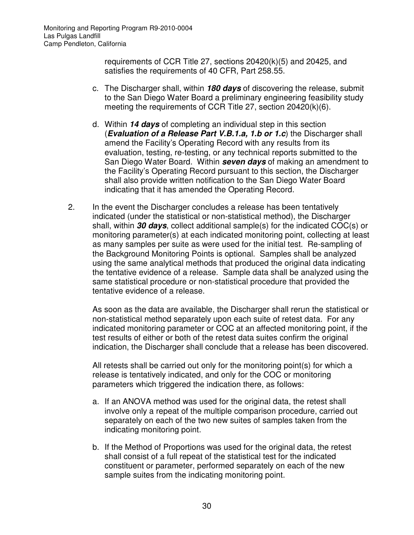requirements of CCR Title 27, sections 20420(k)(5) and 20425, and satisfies the requirements of 40 CFR, Part 258.55.

- c. The Discharger shall, within **180 days** of discovering the release, submit to the San Diego Water Board a preliminary engineering feasibility study meeting the requirements of CCR Title 27, section 20420(k)(6).
- d. Within **14 days** of completing an individual step in this section (**Evaluation of a Release Part V.B.1.a, 1.b or 1.c**) the Discharger shall amend the Facility's Operating Record with any results from its evaluation, testing, re-testing, or any technical reports submitted to the San Diego Water Board. Within **seven days** of making an amendment to the Facility's Operating Record pursuant to this section, the Discharger shall also provide written notification to the San Diego Water Board indicating that it has amended the Operating Record.
- 2. In the event the Discharger concludes a release has been tentatively indicated (under the statistical or non-statistical method), the Discharger shall, within **30 days**, collect additional sample(s) for the indicated COC(s) or monitoring parameter(s) at each indicated monitoring point, collecting at least as many samples per suite as were used for the initial test. Re-sampling of the Background Monitoring Points is optional. Samples shall be analyzed using the same analytical methods that produced the original data indicating the tentative evidence of a release. Sample data shall be analyzed using the same statistical procedure or non-statistical procedure that provided the tentative evidence of a release.

As soon as the data are available, the Discharger shall rerun the statistical or non-statistical method separately upon each suite of retest data. For any indicated monitoring parameter or COC at an affected monitoring point, if the test results of either or both of the retest data suites confirm the original indication, the Discharger shall conclude that a release has been discovered.

All retests shall be carried out only for the monitoring point(s) for which a release is tentatively indicated, and only for the COC or monitoring parameters which triggered the indication there, as follows:

- a. If an ANOVA method was used for the original data, the retest shall involve only a repeat of the multiple comparison procedure, carried out separately on each of the two new suites of samples taken from the indicating monitoring point.
- b. If the Method of Proportions was used for the original data, the retest shall consist of a full repeat of the statistical test for the indicated constituent or parameter, performed separately on each of the new sample suites from the indicating monitoring point.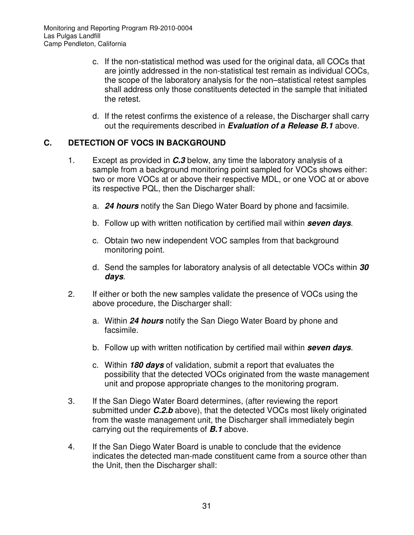- c. If the non-statistical method was used for the original data, all COCs that are jointly addressed in the non-statistical test remain as individual COCs, the scope of the laboratory analysis for the non–statistical retest samples shall address only those constituents detected in the sample that initiated the retest.
- d. If the retest confirms the existence of a release, the Discharger shall carry out the requirements described in **Evaluation of a Release B.1** above.

## **C. DETECTION OF VOCS IN BACKGROUND**

- 1. Except as provided in **C.3** below, any time the laboratory analysis of a sample from a background monitoring point sampled for VOCs shows either: two or more VOCs at or above their respective MDL, or one VOC at or above its respective PQL, then the Discharger shall:
	- a. **24 hours** notify the San Diego Water Board by phone and facsimile.
	- b. Follow up with written notification by certified mail within **seven days**.
	- c. Obtain two new independent VOC samples from that background monitoring point.
	- d. Send the samples for laboratory analysis of all detectable VOCs within **30 days**.
- 2. If either or both the new samples validate the presence of VOCs using the above procedure, the Discharger shall:
	- a. Within **24 hours** notify the San Diego Water Board by phone and facsimile.
	- b. Follow up with written notification by certified mail within **seven days**.
	- c. Within **180 days** of validation, submit a report that evaluates the possibility that the detected VOCs originated from the waste management unit and propose appropriate changes to the monitoring program.
- 3. If the San Diego Water Board determines, (after reviewing the report submitted under **C.2.b** above), that the detected VOCs most likely originated from the waste management unit, the Discharger shall immediately begin carrying out the requirements of **B.1** above.
- 4. If the San Diego Water Board is unable to conclude that the evidence indicates the detected man-made constituent came from a source other than the Unit, then the Discharger shall: